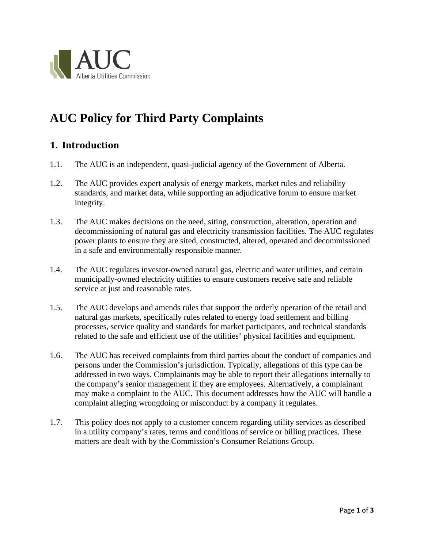

# **AUC Policy for Third Party Complaints**

#### **1. Introduction**

- 1.1. The AUC is an independent, quasi-judicial agency of the Government of Alberta.
- 1.2. The AUC provides expert analysis of energy markets, market rules and reliability standards, and market data, while supporting an adjudicative forum to ensure market integrity.
- 1.3. The AUC makes decisions on the need, siting, construction, alteration, operation and decommissioning of natural gas and electricity transmission facilities. The AUC regulates power plants to ensure they are sited, constructed, altered, operated and decommissioned in a safe and environmentally responsible manner.
- 1.4. The AUC regulates investor-owned natural gas, electric and water utilities, and certain municipally-owned electricity utilities to ensure customers receive safe and reliable service at just and reasonable rates.
- 1.5. The AUC develops and amends rules that support the orderly operation of the retail and natural gas markets, specifically rules related to energy load settlement and billing processes, service quality and standards for market participants, and technical standards related to the safe and efficient use of the utilities' physical facilities and equipment.
- 1.6. The AUC has received complaints from third parties about the conduct of companies and persons under the Commission's jurisdiction. Typically, allegations of this type can be addressed in two ways. Complainants may be able to report their allegations internally to the company's senior management if they are employees. Alternatively, a complainant may make a complaint to the AUC. This document addresses how the AUC will handle a complaint alleging wrongdoing or misconduct by a company it regulates.
- 1.7. This policy does not apply to a customer concern regarding utility services as described in a utility company's rates, terms and conditions of service or billing practices. These matters are dealt with by the Commission's Consumer Relations Group.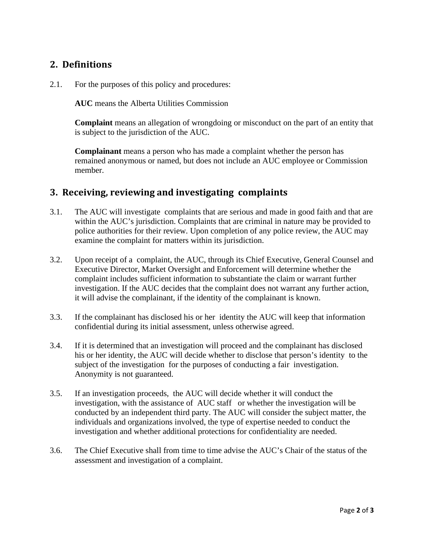#### **2. Definitions**

2.1. For the purposes of this policy and procedures:

**AUC** means the Alberta Utilities Commission

**Complaint** means an allegation of wrongdoing or misconduct on the part of an entity that is subject to the jurisdiction of the AUC.

**Complainant** means a person who has made a complaint whether the person has remained anonymous or named, but does not include an AUC employee or Commission member.

#### **3. Receiving, reviewing and investigating complaints**

- 3.1. The AUC will investigate complaints that are serious and made in good faith and that are within the AUC's jurisdiction. Complaints that are criminal in nature may be provided to police authorities for their review. Upon completion of any police review, the AUC may examine the complaint for matters within its jurisdiction.
- 3.2. Upon receipt of a complaint, the AUC, through its Chief Executive, General Counsel and Executive Director, Market Oversight and Enforcement will determine whether the complaint includes sufficient information to substantiate the claim or warrant further investigation. If the AUC decides that the complaint does not warrant any further action, it will advise the complainant, if the identity of the complainant is known.
- 3.3. If the complainant has disclosed his or her identity the AUC will keep that information confidential during its initial assessment, unless otherwise agreed.
- 3.4. If it is determined that an investigation will proceed and the complainant has disclosed his or her identity, the AUC will decide whether to disclose that person's identity to the subject of the investigation for the purposes of conducting a fair investigation. Anonymity is not guaranteed.
- 3.5. If an investigation proceeds, the AUC will decide whether it will conduct the investigation, with the assistance of AUC staff or whether the investigation will be conducted by an independent third party. The AUC will consider the subject matter, the individuals and organizations involved, the type of expertise needed to conduct the investigation and whether additional protections for confidentiality are needed.
- 3.6. The Chief Executive shall from time to time advise the AUC's Chair of the status of the assessment and investigation of a complaint.